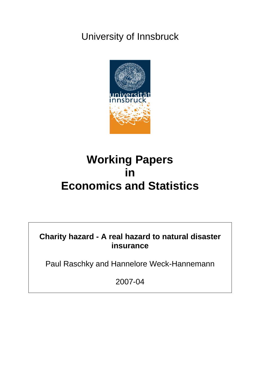# University of Innsbruck



# **Working Papers in Economics and Statistics**

**Charity hazard - A real hazard to natural disaster insurance** 

Paul Raschky and Hannelore Weck-Hannemann

2007-04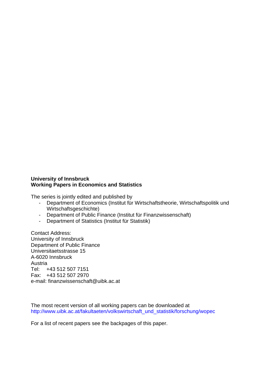#### **University of Innsbruck Working Papers in Economics and Statistics**

The series is jointly edited and published by

- Department of Economics (Institut für Wirtschaftstheorie, Wirtschaftspolitik und Wirtschaftsgeschichte)
- Department of Public Finance (Institut für Finanzwissenschaft)
- Department of Statistics (Institut für Statistik)

Contact Address: University of Innsbruck Department of Public Finance Universitaetsstrasse 15 A-6020 Innsbruck Austria Tel: +43 512 507 7151 Fax: +43 512 507 2970 e-mail: finanzwissenschaft@uibk.ac.at

The most recent version of all working papers can be downloaded at [http://www.uibk.ac.at/fakultaeten/volkswirtschaft\\_und\\_statistik/forschung/wopec](http://www.uibk.ac.at/fakultaeten/volkswirtschaft_und_statistik/forschung/wopec)

For a list of recent papers see the backpages of this paper.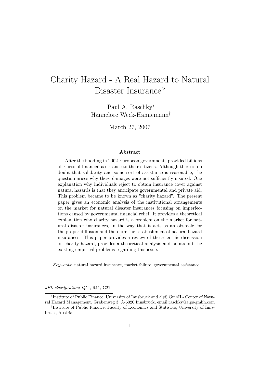## Charity Hazard - A Real Hazard to Natural Disaster Insurance?

Paul A. Raschky<sup>∗</sup> Hannelore Weck-Hannemann†

March 27, 2007

#### Abstract

After the flooding in 2002 European governments provided billions of Euros of financial assistance to their citizens. Although there is no doubt that solidarity and some sort of assistance is reasonable, the question arises why these damages were not sufficiently insured. One explanation why individuals reject to obtain insurance cover against natural hazards is that they anticipate governmental and private aid. This problem became to be known as "charity hazard". The present paper gives an economic analysis of the institutional arrangements on the market for natural disaster insurances focusing on imperfections caused by governmental financial relief. It provides a theoretical explanation why charity hazard is a problem on the market for natural disaster insurances, in the way that it acts as an obstacle for the proper diffusion and therefore the establishment of natural hazard insurances. This paper provides a review of the scientific discussion on charity hazard, provides a theoretical analysis and points out the existing empirical problems regarding this issue.

Keywords: natural hazard insurance, market failure, governmental assistance

JEL classification: Q54, R11, G22

<sup>∗</sup> Institute of Public Finance, University of Innsbruck and alpS GmbH - Center of Natural Hazard Management, Grabenweg 3, A-6020 Innsbruck, email:raschky@alps-gmbh.com

<sup>†</sup> Institute of Public Finance, Faculty of Economics and Statistics, University of Innsbruck, Austria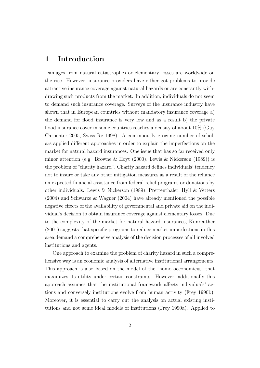## 1 Introduction

Damages from natural catastrophes or elementary losses are worldwide on the rise. However, insurance providers have either got problems to provide attractive insurance coverage against natural hazards or are constantly withdrawing such products from the market. In addition, individuals do not seem to demand such insurance coverage. Surveys of the insurance industry have shown that in European countries without mandatory insurance coverage a) the demand for flood insurance is very low and as a result b) the private flood insurance cover in some countries reaches a density of about 10% (Guy Carpenter 2005, Swiss Re 1998). A continuously growing number of scholars applied different approaches in order to explain the imperfections on the market for natural hazard insurances. One issue that has so far received only minor attention (e.g. Browne & Hoyt (2000), Lewis & Nickerson (1989)) is the problem of "charity hazard". Charity hazard defines individuals' tendency not to insure or take any other mitigation measures as a result of the reliance on expected financial assistance from federal relief programs or donations by other individuals. Lewis & Nickerson (1989), Prettenthaler, Hyll & Vetters (2004) and Schwarze & Wagner (2004) have already mentioned the possible negative effects of the availability of governmental and private aid on the individual's decision to obtain insurance coverage against elementary losses. Due to the complexity of the market for natural hazard insurances, Kunreuther (2001) suggests that specific programs to reduce market imperfections in this area demand a comprehensive analysis of the decision processes of all involved institutions and agents.

One approach to examine the problem of charity hazard in such a comprehensive way is an economic analysis of alternative institutional arrangements. This approach is also based on the model of the "homo oeconomicus" that maximizes its utility under certain constraints. However, additionally this approach assumes that the institutional framework affects individuals' actions and conversely institutions evolve from human activity (Frey 1990b). Moreover, it is essential to carry out the analysis on actual existing institutions and not some ideal models of institutions (Frey 1990a). Applied to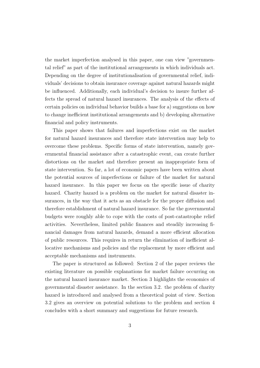the market imperfection analysed in this paper, one can view "governmental relief" as part of the institutional arrangements in which individuals act. Depending on the degree of institutionalisation of governmental relief, individuals' decisions to obtain insurance coverage against natural hazards might be influenced. Additionally, each individual's decision to insure further affects the spread of natural hazard insurances. The analysis of the effects of certain policies on individual behavior builds a base for a) suggestions on how to change inefficient institutional arrangements and b) developing alternative financial and policy instruments.

This paper shows that failures and imperfections exist on the market for natural hazard insurances and therefore state intervention may help to overcome these problems. Specific forms of state intervention, namely governmental financial assistance after a catastrophic event, can create further distortions on the market and therefore present an inappropriate form of state intervention. So far, a lot of economic papers have been written about the potential sources of imperfections or failure of the market for natural hazard insurance. In this paper we focus on the specific issue of charity hazard. Charity hazard is a problem on the market for natural disaster insurances, in the way that it acts as an obstacle for the proper diffusion and therefore establishment of natural hazard insurance. So far the governmental budgets were roughly able to cope with the costs of post-catastrophe relief activities. Nevertheless, limited public finances and steadily increasing financial damages from natural hazards, demand a more efficient allocation of public resources. This requires in return the elimination of inefficient allocative mechanisms and policies and the replacement by more efficient and acceptable mechanisms and instruments.

The paper is structured as followed: Section 2 of the paper reviews the existing literature on possible explanations for market failure occurring on the natural hazard insurance market. Section 3 highlights the economics of governmental disaster assistance. In the section 3.2. the problem of charity hazard is introduced and analysed from a theoretical point of view. Section 3.2 gives an overview on potential solutions to the problem and section 4 concludes with a short summary and suggestions for future research.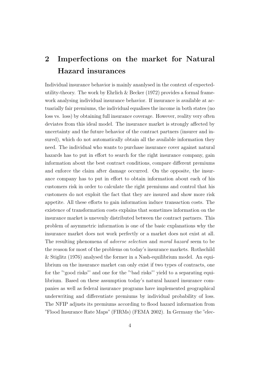## 2 Imperfections on the market for Natural Hazard insurances

Individual insurance behavior is mainly ananlysed in the context of expectedutility-theory. The work by Ehrlich  $\&$  Becker (1972) provides a formal framework analysing individual insurance behavior. If insurance is available at actuarially fair premiums, the individual equalises the income in both states (no loss vs. loss) by obtaining full insurance coverage. However, reality very often deviates from this ideal model. The insurance market is strongly affected by uncertainty and the future behavior of the contract partners (insurer and insured), which do not automatically obtain all the available information they need. The individual who wants to purchase insurance cover against natural hazards has to put in effort to search for the right insurance company, gain information about the best contract conditions, compare different premiums and enforce the claim after damage occurred. On the opposite, the insurance company has to put in effort to obtain information about each of his customers risk in order to calculate the right premiums and control that his customers do not exploit the fact that they are insured and show more risk appetite. All these efforts to gain information induce transaction costs. The existence of transformation costs explains that sometimes information on the insurance market is unevenly distributed between the contract partners. This problem of asymmetric information is one of the basic explanations why the insurance market does not work perfectly or a market does not exist at all. The resulting phenomena of adverse selection and moral hazard seem to be the reason for most of the problems on today's insurance markets. Rothschild & Stiglitz (1976) analysed the former in a Nash-equilibrium model. An equilibrium on the insurance market can only exist if two types of contracts, one for the "'good risks"' and one for the "'bad risks"' yield to a separating equilibrium. Based on these assumption today's natural hazard insurance companies as well as federal insurance programs have implemented geographical underwriting and differentiate premiums by individual probability of loss. The NFIP adjusts its premiums according to flood hazard information from "Flood Insurance Rate Maps" (FIRMs) (FEMA 2002). In Germany the "elec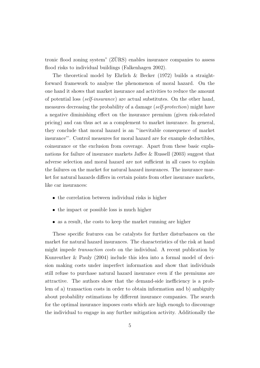tronic flood zoning system"  $(ZURS)$  enables insurance companies to assess flood risks to individual buildings (Falkenhagen 2002).

The theoretical model by Ehrlich & Becker (1972) builds a straightforward framework to analyse the phenomenon of moral hazard. On the one hand it shows that market insurance and activities to reduce the amount of potential loss (self-insurance) are actual substitutes. On the other hand, measures decreasing the probability of a damage (self-protection) might have a negative diminishing effect on the insurance premium (given risk-related pricing) and can thus act as a complement to market insurance. In general, they conclude that moral hazard is an "'inevitable consequence of market insurance"'. Control measures for moral hazard are for example deductibles, coinsurance or the exclusion from coverage. Apart from these basic explanations for failure of insurance markets Jaffee & Russell (2003) suggest that adverse selection and moral hazard are not sufficient in all cases to explain the failures on the market for natural hazard insurances. The insurance market for natural hazards differs in certain points from other insurance markets, like car insurances:

- the correlation between individual risks is higher
- the impact or possible loss is much higher
- as a result, the costs to keep the market running are higher

These specific features can be catalysts for further disturbances on the market for natural hazard insurances. The characteristics of the risk at hand might impede transaction costs on the individual. A recent publication by Kunreuther & Pauly (2004) include this idea into a formal model of decision making costs under imperfect information and show that individuals still refuse to purchase natural hazard insurance even if the premiums are attractive. The authors show that the demand-side inefficiency is a problem of a) transaction costs in order to obtain information and b) ambiguity about probability estimations by different insurance companies. The search for the optimal insurance imposes costs which are high enough to discourage the individual to engage in any further mitigation activity. Additionally the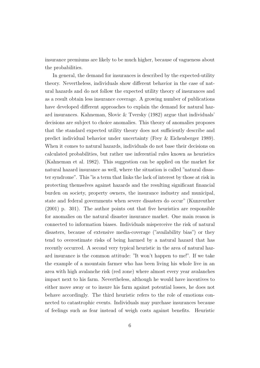insurance premiums are likely to be much higher, because of vagueness about the probabilities.

In general, the demand for insurances is described by the expected-utility theory. Nevertheless, individuals show different behavior in the case of natural hazards and do not follow the expected utility theory of insurances and as a result obtain less insurance coverage. A growing number of publications have developed different approaches to explain the demand for natural hazard insurances. Kahneman, Slovic & Tversky (1982) argue that individuals' decisions are subject to choice anomalies. This theory of anomalies proposes that the standard expected utility theory does not sufficiently describe and predict individual behavior under uncertainty (Frey & Eichenberger 1989). When it comes to natural hazards, individuals do not base their decisions on calculated probabilities, but rather use inferential rules known as heuristics (Kahneman et al. 1982). This suggestion can be applied on the market for natural hazard insurance as well, where the situation is called "natural disaster syndrome". This "is a term that links the lack of interest by those at risk in protecting themselves against hazards and the resulting significant financial burden on society, property owners, the insurance industry and municipal, state and federal governments when severe disasters do occur" (Kunreuther (2001) p. 301). The author points out that five heuristics are responsible for anomalies on the natural disaster insurance market. One main reason is connected to information biases. Individuals misperceive the risk of natural disasters, because of extensive media-coverage ("availability bias") or they tend to overestimate risks of being harmed by a natural hazard that has recently occurred. A second very typical heuristic in the area of natural hazard insurance is the common attitude: "It won't happen to me!". If we take the example of a mountain farmer who has been living his whole live in an area with high avalanche risk (red zone) where almost every year avalanches impact next to his farm. Nevertheless, although he would have incentives to either move away or to insure his farm against potential losses, he does not behave accordingly. The third heuristic refers to the role of emotions connected to catastrophic events. Individuals may purchase insurances because of feelings such as fear instead of weigh costs against benefits. Heuristic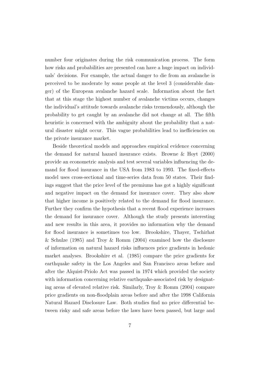number four originates during the risk communication process. The form how risks and probabilities are presented can have a huge impact on individuals' decisions. For example, the actual danger to die from an avalanche is perceived to be moderate by some people at the level 3 (considerable danger) of the European avalanche hazard scale. Information about the fact that at this stage the highest number of avalanche victims occurs, changes the individual's attitude towards avalanche risks tremendously, although the probability to get caught by an avalanche did not change at all. The fifth heuristic is concerned with the ambiguity about the probability that a natural disaster might occur. This vague probabilities lead to inefficiencies on the private insurance market.

Beside theoretical models and approaches empirical evidence concerning the demand for natural hazard insurance exists. Browne & Hoyt (2000) provide an econometric analysis and test several variables influencing the demand for flood insurance in the USA from 1983 to 1993. The fixed-effects model uses cross-sectional and time-series data from 50 states. Their findings suggest that the price level of the premiums has got a highly significant and negative impact on the demand for insurance cover. They also show that higher income is positively related to the demand for flood insurance. Further they confirm the hypothesis that a recent flood experience increases the demand for insurance cover. Although the study presents interesting and new results in this area, it provides no information why the demand for flood insurance is sometimes too low. Brookshire, Thayer, Tschirhat & Schulze (1985) and Troy & Romm (2004) examined how the disclosure of information on natural hazard risks influences price gradients in hedonic market analyses. Brookshire et al. (1985) compare the price gradients for earthquake safety in the Los Angeles and San Francisco areas before and after the Alquist-Priolo Act was passed in 1974 which provided the society with information concerning relative earthquake-associated risk by designating areas of elevated relative risk. Similarly, Troy & Romm (2004) compare price gradients on non-floodplain areas before and after the 1998 California Natural Hazard Disclosure Law. Both studies find no price differential between risky and safe areas before the laws have been passed, but large and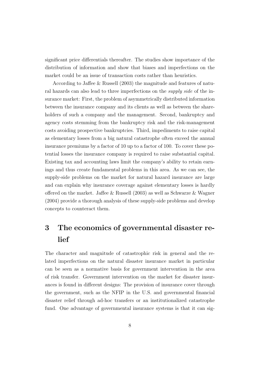significant price differentials thereafter. The studies show importance of the distribution of information and show that biases and imperfections on the market could be an issue of transaction costs rather than heuristics.

According to Jaffee & Russell (2003) the magnitude and features of natural hazards can also lead to three imperfections on the supply side of the insurance market: First, the problem of asymmetrically distributed information between the insurance company and its clients as well as between the shareholders of such a company and the management. Second, bankruptcy and agency costs stemming from the bankruptcy risk and the risk-management costs avoiding prospective bankruptcies. Third, impediments to raise capital as elementary losses from a big natural catastrophe often exceed the annual insurance premiums by a factor of 10 up to a factor of 100. To cover these potential losses the insurance company is required to raise substantial capital. Existing tax and accounting laws limit the company's ability to retain earnings and thus create fundamental problems in this area. As we can see, the supply-side problems on the market for natural hazard insurance are large and can explain why insurance coverage against elementary losses is hardly offered on the market. Jaffee & Russell (2003) as well as Schwarze & Wagner (2004) provide a thorough analysis of these supply-side problems and develop concepts to counteract them.

## 3 The economics of governmental disaster relief

The character and magnitude of catastrophic risk in general and the related imperfections on the natural disaster insurance market in particular can be seen as a normative basis for government intervention in the area of risk transfer. Government intervention on the market for disaster insurances is found in different designs: The provision of insurance cover through the government, such as the NFIP in the U.S. and governmental financial disaster relief through ad-hoc transfers or an institutionalized catastrophe fund. One advantage of governmental insurance systems is that it can sig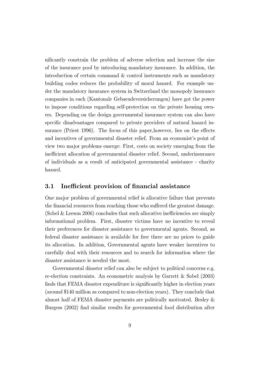nificantly constrain the problem of adverse selection and increase the size of the insurance pool by introducing mandatory insurance. In addition, the introduction of certain command & control instruments such as mandatory building codes reduces the probability of moral hazard. For example under the mandatory insurance system in Switzerland the monopoly insurance companies in each (Kantonale Gebaeudeversicherungen) have got the power to impose conditions regarding self-protection on the private housing owners. Depending on the design governmental insurance system can also have specific disadvantages compared to private providers of natural hazard insurance (Priest 1996). The focus of this paper,however, lies on the effects and incentives of governmental disaster relief. From an economist's point of view two major problems emerge: First, costs on society emerging from the inefficient allocation of governmental disaster relief. Second, underinsurance of individuals as a result of anticipated governmental assistance - charity hazard.

#### 3.1 Inefficient provision of financial assistance

One major problem of governmental relief is allocative failure that prevents the financial resources from reaching those who suffered the greatest damage. (Sobel & Leeson 2006) concludes that such allocative inefficiencies are simply informational problem. First, disaster victims have no incentive to reveal their preferences for disaster assistance to governmental agents. Second, as federal disaster assistance is available for free there are no prices to guide its allocation. In addition, Governmental agents have weaker incentives to carefully deal with their resources and to search for information where the disaster assistance is needed the most.

Governmental disaster relief can also be subject to political concerns e.g. re-election constraints. An econometric analysis by Garrett & Sobel (2003) finds that FEMA disaster expenditure is significantly higher in election years (around \$140 million as compared to non-election years). They conclude that almost half of FEMA disaster payments are politically motivated. Besley & Burgess (2002) find similar results for governmental food distribution after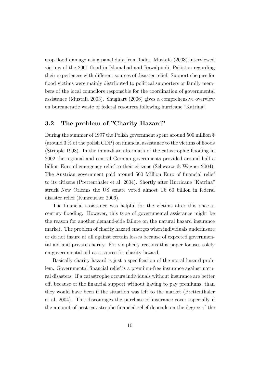crop flood damage using panel data from India. Mustafa (2003) interviewed victims of the 2001 flood in Islamabad and Rawalpindi, Pakistan regarding their experiences with different sources of disaster relief. Support cheques for flood victims were mainly distributed to political supporters or family members of the local councilors responsible for the coordination of governmental assistance (Mustafa 2003). Shughart (2006) gives a comprehensive overview on bureaucratic waste of federal resources following hurricane "Katrina".

### 3.2 The problem of "Charity Hazard"

During the summer of 1997 the Polish government spent around 500 million \$ (around 3 % of the polish GDP) on financial assistance to the victims of floods (Stripple 1998). In the immediate aftermath of the catastrophic flooding in 2002 the regional and central German governments provided around half a billion Euro of emergency relief to their citizens (Schwarze & Wagner 2004). The Austrian government paid around 500 Million Euro of financial relief to its citizens (Prettenthaler et al. 2004). Shortly after Hurricane "Katrina" struck New Orleans the US senate voted almost U\$ 60 billion in federal disaster relief (Kunreuther 2006).

The financial assistance was helpful for the victims after this once-acentury flooding. However, this type of governmental assistance might be the reason for another demand-side failure on the natural hazard insurance market. The problem of charity hazard emerges when individuals underinsure or do not insure at all against certain losses because of expected governmental aid and private charity. For simplicity reasons this paper focuses solely on governmental aid as a source for charity hazard.

Basically charity hazard is just a specification of the moral hazard problem. Governmental financial relief is a premium-free insurance against natural disasters. If a catastrophe occurs individuals without insurance are better off, because of the financial support without having to pay premiums, than they would have been if the situation was left to the market (Prettenthaler et al. 2004). This discourages the purchase of insurance cover especially if the amount of post-catastrophe financial relief depends on the degree of the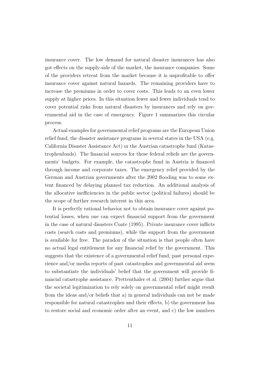insurance cover. The low demand for natural disaster insurances has also got effects on the supply-side of the market, the insurance companies. Some of the providers retreat from the market because it is unprofitable to offer insurance cover against natural hazards. The remaining providers have to increase the premiums in order to cover costs. This leads to an even lower supply at higher prices. In this situation fewer and fewer individuals tend to cover potential risks from natural disasters by insurances and rely on governmental aid in the case of emergency. Figure 1 summarizes this circular process.

Actual examples for governmental relief programs are the European Union relief fund, the disaster assistance programs in several states in the USA (e.g. California Disaster Assistance Act) or the Austrian catastrophe fund (Katastrophenfonds). The financial sources for these federal reliefs are the governments' budgets. For example, the catastrophe fund in Austria is financed through income and corporate taxes. The emergency relief provided by the German and Austrian governments after the 2002 flooding was to some extent financed by delaying planned tax reduction. An additional analysis of the allocative inefficiencies in the public sector (political failures) should be the scope of further research interest in this area.

It is perfectly rational behavior not to obtain insurance cover against potential losses, when one can expect financial support from the government in the case of natural disasters Coate (1995). Private insurance cover inflicts costs (search costs and premiums), while the support from the government is available for free. The paradox of the situation is that people often have no actual legal entitlement for any financial relief by the government. This suggests that the existence of a governmental relief fund, past personal experience and/or media reports of past catastrophes and governmental aid seem to substantiate the individuals' belief that the government will provide financial catastrophe assistance. Prettenthaler et al. (2004) further argue that the societal legitimization to rely solely on governmental relief might result from the ideas and/or beliefs that a) in general individuals can not be made responsible for natural catastrophes and their effects, b) the government has to restore social and economic order after an event, and c) the low numbers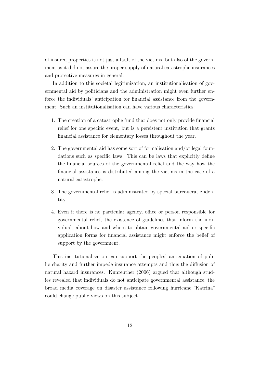of insured properties is not just a fault of the victims, but also of the government as it did not assure the proper supply of natural catastrophe insurances and protective measures in general.

In addition to this societal legitimization, an institutionalisation of governmental aid by politicians and the administration might even further enforce the individuals' anticipation for financial assistance from the government. Such an institutionalisation can have various characteristics:

- 1. The creation of a catastrophe fund that does not only provide financial relief for one specific event, but is a persistent institution that grants financial assistance for elementary losses throughout the year.
- 2. The governmental aid has some sort of formalisation and/or legal foundations such as specific laws. This can be laws that explicitly define the financial sources of the governmental relief and the way how the financial assistance is distributed among the victims in the case of a natural catastrophe.
- 3. The governmental relief is administrated by special bureaucratic identity.
- 4. Even if there is no particular agency, office or person responsible for governmental relief, the existence of guidelines that inform the individuals about how and where to obtain governmental aid or specific application forms for financial assistance might enforce the belief of support by the government.

This institutionalisation can support the peoples' anticipation of public charity and further impede insurance attempts and thus the diffusion of natural hazard insurances. Kunreuther (2006) argued that although studies revealed that individuals do not anticipate governmental assistance, the broad media coverage on disaster assistance following hurricane "Katrina" could change public views on this subject.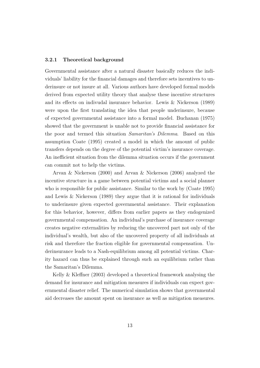#### 3.2.1 Theoretical background

Governmental assistance after a natural disaster basically reduces the individuals' liability for the financial damages and therefore sets incentives to underinsure or not insure at all. Various authors have developed formal models derived from expected utility theory that analyse these incentive structures and its effects on indivudal insurance behavior. Lewis & Nickerson (1989) were upon the first translating the idea that people underinsure, because of expected governmental assistance into a formal model. Buchanan (1975) showed that the government is unable not to provide financial assistance for the poor and termed this situation Samaritan's Dilemma. Based on this assumption Coate (1995) created a model in which the amount of public transfers depends on the degree of the potential victim's insurance coverage. An inefficient situation from the dilemma situation occurs if the government can commit not to help the victims.

Arvan & Nickerson (2000) and Arvan & Nickerson (2006) analyzed the incentive structure in a game between potential victims and a social planner who is responsible for public assistance. Similar to the work by (Coate 1995) and Lewis & Nickerson (1989) they argue that it is rational for individuals to underinsure given expected governmental assistance. Their explanation for this behavior, however, differs from earlier papers as they endogenized governmental compensation. An individual's purchase of insurance coverage creates negative externalities by reducing the uncovered part not only of the individual's wealth, but also of the uncovered property of all individuals at risk and therefore the fraction eligible for governmental compensation. Underinsurance leads to a Nash-equilibrium among all potential victims. Charity hazard can thus be explained through such an equilibrium rather than the Samaritan's Dilemma.

Kelly & Kleffner (2003) developed a theoretical framework analysing the demand for insurance and mitigation measures if individuals can expect governmental disaster relief. The numerical simulation shows that governmental aid decreases the amount spent on insurance as well as mitigation measures.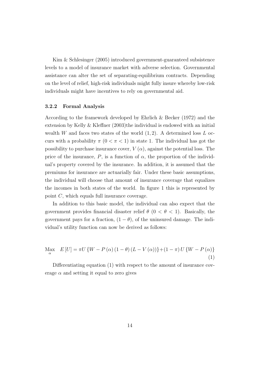Kim & Schlesinger (2005) introduced government-guaranteed subsistence levels to a model of insurance market with adverse selection. Governmental assistance can alter the set of separating-equilibrium contracts. Depending on the level of relief, high-risk individuals might fully insure whereby low-risk individuals might have incentives to rely on governmental aid.

#### 3.2.2 Formal Analysis

According to the framework developed by Ehrlich & Becker (1972) and the extension by Kelly & Kleffner (2003)the individual is endowed with an initial wealth W and faces two states of the world  $(1, 2)$ . A determined loss L occurs with a probability  $\pi$  ( $0 < \pi < 1$ ) in state 1. The individual has got the possibility to purchase insurance cover,  $V(\alpha)$ , against the potential loss. The price of the insurance, P, is a function of  $\alpha$ , the proportion of the individual's property covered by the insurance. In addition, it is assumed that the premiums for insurance are actuarially fair. Under these basic assumptions, the individual will choose that amount of insurance coverage that equalizes the incomes in both states of the world. In figure 1 this is represented by point C, which equals full insurance coverage.

In addition to this basic model, the individual can also expect that the government provides financial disaster relief  $\theta$  ( $0 < \theta < 1$ ). Basically, the government pays for a fraction,  $(1 - \theta)$ , of the uninsured damage. The individual's utility function can now be derived as follows:

$$
\underset{\alpha}{\text{Max}} \quad E\left[U\right] = \pi U \left\{ W - P\left(\alpha\right) \left(1 - \theta\right) \left(L - V\left(\alpha\right)\right) \right\} + \left(1 - \pi\right) U \left\{ W - P\left(\alpha\right) \right\} \tag{1}
$$

Differentiating equation (1) with respect to the amount of insurance coverage  $\alpha$  and setting it equal to zero gives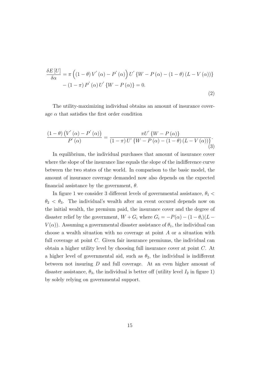$$
\frac{\delta E\left[U\right]}{\delta \alpha} = \pi \left( \left(1 - \theta\right) V' \left(\alpha\right) - P' \left(\alpha\right) \right) U' \left\{ W - P \left(\alpha\right) - \left(1 - \theta\right) \left(L - V \left(\alpha\right)\right) \right\} - \left(1 - \pi\right) P' \left(\alpha\right) U' \left\{ W - P \left(\alpha\right) \right\} = 0.
$$
\n(2)

The utility-maximizing individual obtains an amount of insurance coverage  $\alpha$  that satisfies the first order condition

$$
\frac{\left(1-\theta\right)\left(V^{'}\left(\alpha\right)-P^{'}\left(\alpha\right)\right)}{P^{'}\left(\alpha\right)}=\frac{\pi U^{'}\left\{W-P\left(\alpha\right)\right\}}{\left(1-\pi\right)U^{'}\left\{W-P\left(\alpha\right)-\left(1-\theta\right)\left(L-V\left(\alpha\right)\right)\right\}}.\tag{3}
$$

In equilibrium, the individual purchases that amount of insurance cover where the slope of the insurance line equals the slope of the indifference curve between the two states of the world. In comparison to the basic model, the amount of insurance coverage demanded now also depends on the expected financial assistance by the government,  $\theta$ .

In figure 1 we consider 3 different levels of governmental assistance,  $\theta_1$  <  $\theta_2 < \theta_3$ . The individual's wealth after an event occured depends now on the initial wealth, the premium paid, the insurance cover and the degree of disaster relief by the government,  $W + G_i$  where  $G_i = -P(\alpha) - (1 - \theta_i)(L V(\alpha)$ . Assuming a governmental disaster assistance of  $\theta_1$ , the individual can choose a wealth situation with no coverage at point A or a situation with full coverage at point C. Given fair insurance premiums, the individual can obtain a higher utility level by choosing full insurance cover at point C. At a higher level of governmental aid, such as  $\theta_2$ , the individual is indifferent between not insuring D and full coverage. At an even higher amount of disaster assistance,  $\theta_3$ , the individual is better off (utility level  $I_2$  in figure 1) by solely relying on governmental support.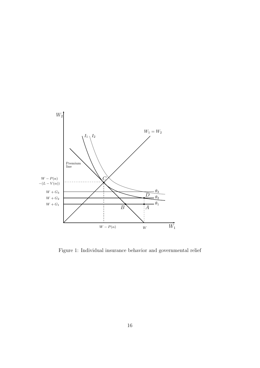

Figure 1: Individual insurance behavior and governmental relief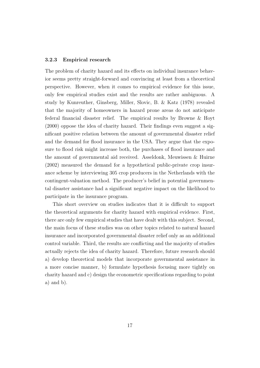#### 3.2.3 Empirical research

The problem of charity hazard and its effects on individual insurance behavior seems pretty straight-forward and convincing at least from a theoretical perspective. However, when it comes to empirical evidence for this issue, only few empirical studies exist and the results are rather ambiguous. A study by Kunreuther, Ginsberg, Miller, Slovic, B. & Katz (1978) revealed that the majority of homeowners in hazard prone areas do not anticipate federal financial disaster relief. The empirical results by Browne & Hoyt (2000) oppose the idea of charity hazard. Their findings even suggest a significant positive relation between the amount of governmental disaster relief and the demand for flood insurance in the USA. They argue that the exposure to flood risk might increase both, the purchases of flood insurance and the amount of governmental aid received. Asseldonk, Meuwissen & Huirne (2002) measured the demand for a hypothetical public-private crop insurance scheme by interviewing 305 crop producers in the Netherlands with the contingent-valuation method. The producer's belief in potential governmental disaster assistance had a significant negative impact on the likelihood to participate in the insurance program.

This short overview on studies indicates that it is difficult to support the theoretical arguments for charity hazard with empirical evidence. First, there are only few empirical studies that have dealt with this subject. Second, the main focus of these studies was on other topics related to natural hazard insurance and incorporated governmental disaster relief only as an additional control variable. Third, the results are conflicting and the majority of studies actually rejects the idea of charity hazard. Therefore, future research should a) develop theoretical models that incorporate governmental assistance in a more concise manner, b) formulate hypothesis focusing more tightly on charity hazard and c) design the econometric specifications regarding to point a) and b).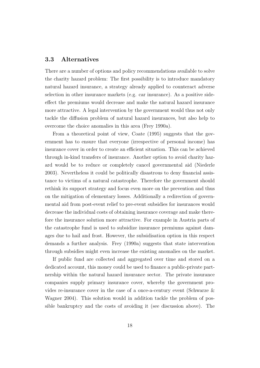#### 3.3 Alternatives

There are a number of options and policy recommendations available to solve the charity hazard problem: The first possibility is to introduce mandatory natural hazard insurance, a strategy already applied to counteract adverse selection in other insurance markets (e.g. car insurance). As a positive sideeffect the premiums would decrease and make the natural hazard insurance more attractive. A legal intervention by the government would thus not only tackle the diffusion problem of natural hazard insurances, but also help to overcome the choice anomalies in this area (Frey 1990a).

From a theoretical point of view, Coate (1995) suggests that the government has to ensure that everyone (irrespective of personal income) has insurance cover in order to create an efficient situation. This can be achieved through in-kind transfers of insurance. Another option to avoid charity hazard would be to reduce or completely cancel governmental aid (Niederle 2003). Nevertheless it could be politically disastrous to deny financial assistance to victims of a natural catastrophe. Therefore the government should rethink its support strategy and focus even more on the prevention and thus on the mitigation of elementary losses. Additionally a redirection of governmental aid from post-event relief to pre-event subsidies for insurances would decrease the individual costs of obtaining insurance coverage and make therefore the insurance solution more attractive. For example in Austria parts of the catastrophe fund is used to subsidize insurance premiums against damages due to hail and frost. However, the subsidisation option in this respect demands a further analysis. Frey (1990a) suggests that state intervention through subsidies might even increase the existing anomalies on the market.

If public fund are collected and aggregated over time and stored on a dedicated account, this money could be used to finance a public-private partnership within the natural hazard insurance sector. The private insurance companies supply primary insurance cover, whereby the government provides re-insurance cover in the case of a once-a-century event (Schwarze & Wagner 2004). This solution would in addition tackle the problem of possible bankruptcy and the costs of avoiding it (see discussion above). The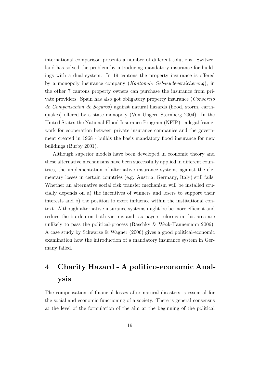international comparison presents a number of different solutions. Switzerland has solved the problem by introducing mandatory insurance for buildings with a dual system. In 19 cantons the property insurance is offered by a monopoly insurance company (Kantonale Gebaeudeversicherung), in the other 7 cantons property owners can purchase the insurance from private providers. Spain has also got obligatory property insurance (Consorcio de Compensacion de Seguros) against natural hazards (flood, storm, earthquakes) offered by a state monopoly (Von Ungern-Sternberg 2004). In the United States the National Flood Insurance Program (NFIP) - a legal framework for cooperation between private insurance companies and the government created in 1968 - builds the basis mandatory flood insurance for new buildings (Burby 2001).

Although superior models have been developed in economic theory and these alternative mechanisms have been successfully applied in different countries, the implementation of alternative insurance systems against the elementary losses in certain countries (e.g. Austria, Germany, Italy) still fails. Whether an alternative social risk transfer mechanism will be installed crucially depends on a) the incentives of winners and losers to support their interests and b) the position to exert influence within the institutional context. Although alternative insurance systems might be be more efficient and reduce the burden on both victims and tax-payers reforms in this area are unlikely to pass the political-process (Raschky & Weck-Hannemann 2006). A case study by Schwarze & Wagner (2006) gives a good political-economic examination how the introduction of a mandatory insurance system in Germany failed.

## 4 Charity Hazard - A politico-economic Analysis

The compensation of financial losses after natural disasters is essential for the social and economic functioning of a society. There is general consensus at the level of the formulation of the aim at the beginning of the political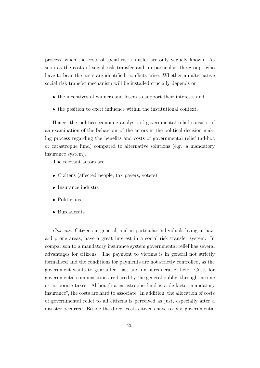process, when the costs of social risk transfer are only vaguely known. As soon as the costs of social risk transfer and, in particular, the groups who have to bear the costs are identified, conflicts arise. Whether an alternative social risk transfer mechanism will be installed crucially depends on

- the incentives of winners and losers to support their interests and
- the position to exert influence within the institutional context.

Hence, the politico-economic analysis of governmental relief consists of an examination of the behaviour of the actors in the political decision making process regarding the benefits and costs of governmental relief (ad-hoc or catastrophe fund) compared to alternative solutions (e.g. a mandatory insurance system).

The relevant actors are:

- Cizitens (affected people, tax payers, voters)
- Insurance industry
- Politicians
- Bureaucrats

Citizens: Citizens in general, and in particular individuals living in hazard prone areas, have a great interest in a social risk transfer system. In comparison to a mandatory insurance system governmental relief has several advantages for citizens. The payment to victims is in general not strictly formalised and the conditions for payments are not strictly controlled, as the government wants to guarantee "fast and un-bureaucratic" help. Costs for governmental compensation are bared by the general public, through income or corporate taxes. Although a catastrophe fund is a de-facto "mandatory insurance", the costs are hard to associate. In addition, the allocation of costs of governmental relief to all citizens is perceived as just, especially after a disaster occurred. Beside the direct costs citizens have to pay, governmental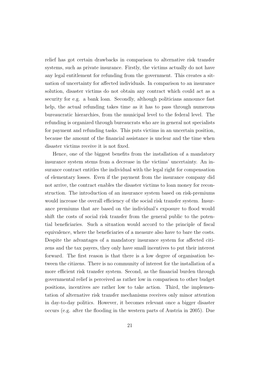relief has got certain drawbacks in comparison to alternative risk transfer systems, such as private insurance. Firstly, the victims actually do not have any legal entitlement for refunding from the government. This creates a situation of uncertainty for affected individuals. In comparison to an insurance solution, disaster victims do not obtain any contract which could act as a security for e.g. a bank loan. Secondly, although politicians announce fast help, the actual refunding takes time as it has to pass through numerous bureaucratic hierarchies, from the municipal level to the federal level. The refunding is organized through bureaucrats who are in general not specialists for payment and refunding tasks. This puts victims in an uncertain position, because the amount of the financial assistance is unclear and the time when disaster victims receive it is not fixed.

Hence, one of the biggest benefits from the installation of a mandatory insurance system stems from a decrease in the victims' uncertainty. An insurance contract entitles the individual with the legal right for compensation of elementary losses. Even if the payment from the insurance company did not arrive, the contract enables the disaster victims to loan money for reconstruction. The introduction of an insurance system based on risk-premiums would increase the overall efficiency of the social risk transfer system. Insurance premiums that are based on the individual's exposure to flood would shift the costs of social risk transfer from the general public to the potential beneficiaries. Such a situation would accord to the principle of fiscal equivalence, where the beneficiaries of a measure also have to bare the costs. Despite the advantages of a mandatory insurance system for affected citizens and the tax payers, they only have small incentives to put their interest forward. The first reason is that there is a low degree of organisation between the citizens. There is no community of interest for the installation of a more efficient risk transfer system. Second, as the financial burden through governmental relief is perceived as rather low in comparison to other budget positions, incentives are rather low to take action. Third, the implementation of alternative risk transfer mechanisms receives only minor attention in day-to-day politics. However, it becomes relevant once a bigger disaster occurs (e.g. after the flooding in the western parts of Austria in 2005). Due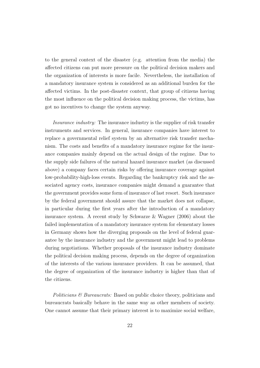to the general context of the disaster (e.g. attention from the media) the affected citizens can put more pressure on the political decision makers and the organization of interests is more facile. Nevertheless, the installation of a mandatory insurance system is considered as an additional burden for the affected victims. In the post-disaster context, that group of citizens having the most influence on the political decision making process, the victims, has got no incentives to change the system anyway.

Insurance industry: The insurance industry is the supplier of risk transfer instruments and services. In general, insurance companies have interest to replace a governmental relief system by an alternative risk transfer mechanism. The costs and benefits of a mandatory insurance regime for the insurance companies mainly depend on the actual design of the regime. Due to the supply side failures of the natural hazard insurance market (as discussed above) a company faces certain risks by offering insurance coverage against low-probability-high-loss events. Regarding the bankruptcy risk and the associated agency costs, insurance companies might demand a guarantee that the government provides some form of insurance of last resort. Such insurance by the federal government should assure that the market does not collapse, in particular during the first years after the introduction of a mandatory insurance system. A recent study by Schwarze & Wagner (2006) about the failed implementation of a mandatory insurance system for elementary losses in Germany shows how the diverging proposals on the level of federal guarantee by the insurance industry and the government might lead to problems during negotiations. Whether proposals of the insurance industry dominate the political decision making process, depends on the degree of organization of the interests of the various insurance providers. It can be assumed, that the degree of organization of the insurance industry is higher than that of the citizens.

Politicians & Bureaucrats: Based on public choice theory, politicians and bureaucrats basically behave in the same way as other members of society. One cannot assume that their primary interest is to maximize social welfare,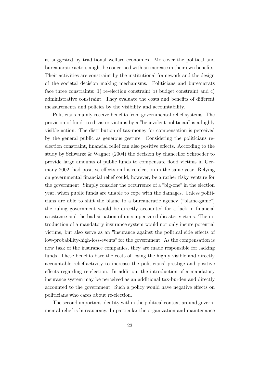as suggested by traditional welfare economics. Moreover the political and bureaucratic actors might be concerned with an increase in their own benefits. Their activities are constraint by the institutional framework and the design of the societal decision making mechanisms. Politicians and bureaucrats face three constraints: 1) re-election constraint b) budget constraint and c) administrative constraint. They evaluate the costs and benefits of different measurements and policies by the visibility and accountability.

Politicians mainly receive benefits from governmental relief systems. The provision of funds to disaster victims by a "benevolent politician" is a highly visible action. The distribution of tax-money for compensation is perceived by the general public as generous gesture. Considering the politicians reelection constraint, financial relief can also positive effects. According to the study by Schwarze & Wagner (2004) the decision by chancellor Schroeder to provide large amounts of public funds to compensate flood victims in Germany 2002, had positive effects on his re-election in the same year. Relying on governmental financial relief could, however, be a rather risky venture for the government. Simply consider the occurrence of a "big-one" in the election year, when public funds are unable to cope with the damages. Unless politicians are able to shift the blame to a bureaucratic agency ("blame-game") the ruling government would be directly accounted for a lack in financial assistance and the bad situation of uncompensated disaster victims. The introduction of a mandatory insurance system would not only insure potential victims, but also serve as an "insurance against the political side effects of low-probability-high-loss-events" for the government. As the compensation is now task of the insurance companies, they are made responsible for lacking funds. These benefits bare the costs of losing the highly visible and directly accountable relief-activity to increase the politicians' prestige and positive effects regarding re-election. In addition, the introduction of a mandatory insurance system may be perceived as an additional tax-burden and directly accounted to the government. Such a policy would have negative effects on politicians who cares about re-election.

The second important identity within the political context around governmental relief is bureaucracy. In particular the organization and maintenance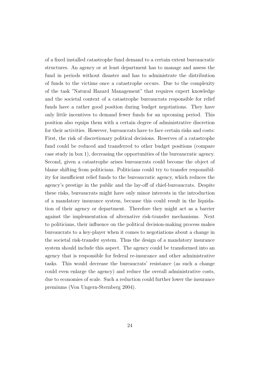of a fixed installed catastrophe fund demand to a certain extent bureaucratic structures. An agency or at least department has to manage and assess the fund in periods without disaster and has to administrate the distribution of funds to the victims once a catastrophe occurs. Due to the complexity of the task "Natural Hazard Management" that requires expert knowledge and the societal context of a catastrophe bureaucrats responsible for relief funds have a rather good position during budget negotiations. They have only little incentives to demand fewer funds for an upcoming period. This position also equips them with a certain degree of administrative discretion for their activities. However, bureaucrats have to face certain risks and costs: First, the risk of discretionary political decisions. Reserves of a catastrophe fund could be reduced and transferred to other budget positions (compare case study in box 1), decreasing the opportunities of the bureaucratic agency. Second, given a catastrophe arises bureaucrats could become the object of blame shifting from politicians. Politicians could try to transfer responsibility for insufficient relief funds to the bureaucratic agency, which reduces the agency's prestige in the public and the lay-off of chief-bureaucrats. Despite these risks, bureaucrats might have only minor interests in the introduction of a mandatory insurance system, because this could result in the liquidation of their agency or department. Therefore they might act as a barrier against the implementation of alternative risk-transfer mechanisms. Next to politicians, their influence on the political decision-making process makes bureaucrats to a key-player when it comes to negotiations about a change in the societal risk-transfer system. Thus the design of a mandatory insurance system should include this aspect. The agency could be transformed into an agency that is responsible for federal re-insurance and other administrative tasks. This would decrease the bureaucrats' resistance (as such a change could even enlarge the agency) and reduce the overall administrative costs, due to economies of scale. Such a reduction could further lower the insurance premiums (Von Ungern-Sternberg 2004).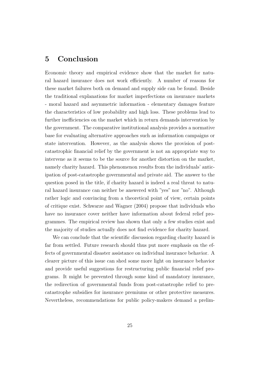## 5 Conclusion

Economic theory and empirical evidence show that the market for natural hazard insurance does not work efficiently. A number of reasons for these market failures both on demand and supply side can be found. Beside the traditional explanations for market imperfections on insurance markets - moral hazard and asymmetric information - elementary damages feature the characteristics of low probability and high loss. These problems lead to further inefficiencies on the market which in return demands intervention by the government. The comparative institutional analysis provides a normative base for evaluating alternative approaches such as information campaigns or state intervention. However, as the analysis shows the provision of postcatastrophic financial relief by the government is not an appropriate way to intervene as it seems to be the source for another distortion on the market, namely charity hazard. This phenomenon results from the individuals' anticipation of post-catastrophe governmental and private aid. The answer to the question posed in the title, if charity hazard is indeed a real threat to natural hazard insurance can neither be answered with "yes" nor "no". Although rather logic and convincing from a theoretical point of view, certain points of critique exist. Schwarze and Wagner (2004) propose that individuals who have no insurance cover neither have information about federal relief programmes. The empirical review has shown that only a few studies exist and the majority of studies actually does not find evidence for charity hazard.

We can conclude that the scientific discussion regarding charity hazard is far from settled. Future research should thus put more emphasis on the effects of governmental disaster assistance on individual insurance behavior. A clearer picture of this issue can shed some more light on insurance behavior and provide useful suggestions for restructuring public financial relief programs. It might be prevented through some kind of mandatory insurance, the redirection of governmental funds from post-catastrophe relief to precatastrophe subsidies for insurance premiums or other protective measures. Nevertheless, recommendations for public policy-makers demand a prelim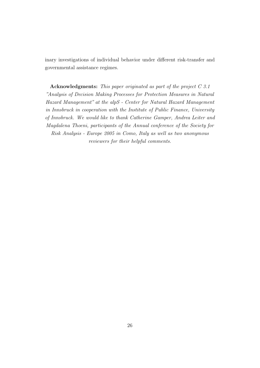inary investigations of individual behavior under different risk-transfer and governmental assistance regimes.

Acknowledgments: This paper originated as part of the project C 3.1 "Analysis of Decision Making Processes for Protection Measures in Natural Hazard Management" at the alpS - Center for Natural Hazard Management in Innsbruck in cooperation with the Institute of Public Finance, University of Innsbruck. We would like to thank Catherine Gamper, Andrea Leiter and Magdalena Thoeni, participants of the Annual conference of the Society for Risk Analysis - Europe 2005 in Como, Italy as well as two anonymous reviewers for their helpful comments.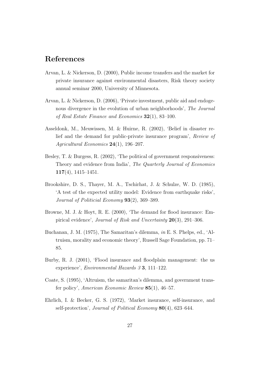## References

- Arvan, L. & Nickerson, D. (2000), Public income transfers and the market for private insurance against environmental disasters, Risk theory society annual seminar 2000, University of Minnesota.
- Arvan, L. & Nickerson, D. (2006), 'Private investment, public aid and endogenous divergence in the evolution of urban neighborhoods', The Journal of Real Estate Finance and Economics  $32(1)$ , 83-100.
- Asseldonk, M., Meuwissen, M. & Huirne, R. (2002), 'Belief in disaster relief and the demand for public-private insurance program', Review of Agricultural Economics 24(1), 196–207.
- Besley, T. & Burgess, R. (2002), 'The political of government responsiveness: Theory and evidence from India', The Quarterly Journal of Economics 117(4), 1415–1451.
- Brookshire, D. S., Thayer, M. A., Tschirhat, J. & Schulze, W. D. (1985), 'A test of the expected utility model: Evidence from earthquake risks', Journal of Politicial Economy 93(2), 369–389.
- Browne, M. J. & Hoyt, R. E. (2000), 'The demand for flood insurance: Empirical evidence', Journal of Risk and Uncertainty 20(3), 291–306.
- Buchanan, J. M. (1975), The Samaritan's dilemma, in E. S. Phelps, ed., 'Altruism, morality and economic theory', Russell Sage Foundation, pp. 71– 85.
- Burby, R. J. (2001), 'Flood insurance and floodplain management: the us experience', Environmental Hazards 3 3, 111–122.
- Coate, S. (1995), 'Altruism, the samaritan's dilemma, and government transfer policy', American Economic Review 85(1), 46–57.
- Ehrlich, I. & Becker, G. S. (1972), 'Market insurance, self-insurance, and self-protection', Journal of Political Economy 80(4), 623-644.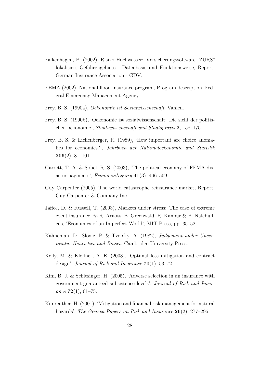- Falkenhagen, B. (2002), Risiko Hochwasser: Versicherungssoftware "ZURS" lokalisiert Gefahrengebiete - Datenbasis und Funktionsweise, Report, German Insurance Association - GDV.
- FEMA (2002), National flood insurance program, Program description, Federal Emergency Management Agency.
- Frey, B. S. (1990a), Oekonomie ist Sozialwissenschaft, Vahlen.
- Frey, B. S. (1990b), 'Oekonomie ist sozialwissenschaft: Die sicht der politischen oekonomie', Staatswissenschaft und Staatspraxis 2, 158–175.
- Frey, B. S. & Eichenberger, R. (1989), 'How important are choice anomalies for economics?', Jahrbuch der Nationaloekonomie und Statistik  $206(2)$ , 81–101.
- Garrett, T. A. & Sobel, R. S. (2003), 'The political economy of FEMA disaster payments', EconomicInquiry 41(3), 496–509.
- Guy Carpenter (2005), The world catastrophe reinsurance market, Report, Guy Carpenter & Company Inc.
- Jaffee, D. & Russell, T. (2003), Markets under stress: The case of extreme event insurance, in R. Arnott, B. Greenwald, R. Kanbur & B. Nalebuff, eds, 'Economics of an Imperfect World', MIT Press, pp. 35–52.
- Kahneman, D., Slovic, P. & Tversky, A. (1982), Judgement under Uncertainty: Heuristics and Biases, Cambridge University Press.
- Kelly, M. & Kleffner, A. E. (2003), 'Optimal loss mitigation and contract design', Journal of Risk and Insurance  $70(1)$ , 53–72.
- Kim, B. J. & Schlesinger, H. (2005), 'Adverse selection in an insurance with government-guaranteed subsistence levels', Journal of Risk and Insurance  $72(1), 61-75.$
- Kunreuther, H. (2001), 'Mitigation and financial risk management for natural hazards', The Geneva Papers on Risk and Insurance 26(2), 277–296.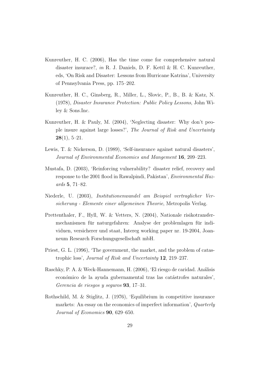- Kunreuther, H. C. (2006), Has the time come for comprehensive natural disaster insurace?, in R. J. Daniels, D. F. Kettl & H. C. Kunreuther, eds, 'On Risk and Disaster: Lessons from Hurricane Katrina', University of Pennsylvania Press, pp. 175–202.
- Kunreuther, H. C., Ginsberg, R., Miller, L., Slovic, P., B., B. & Katz, N. (1978), Disaster Insurance Protection: Public Policy Lessons, John Wiley & Sons.Inc.
- Kunreuther, H. & Pauly, M. (2004), 'Neglecting disaster: Why don't people insure against large losses?', The Journal of Risk and Uncertainty  $28(1), 5-21.$
- Lewis, T. & Nickerson, D. (1989), 'Self-insurance against natural disasters', Journal of Environmental Economics and Mangement 16, 209–223.
- Mustafa, D. (2003), 'Reinforcing vulnerability? disaster relief, recovery and response to the 2001 flood in Rawalpindi, Pakistan', Environmental Hazards 5, 71–82.
- Niederle, U. (2003), Institutionenwandel am Beispiel vertraglicher Versicherung - Elemente einer allgemeinen Theorie, Metropolis Verlag.
- Prettenthaler, F., Hyll, W. & Vetters, N. (2004), Nationale risikotransfermechanismen für naturgefahren: Analyse der problemlagen für individuen, versicherer und staat, Intereg working paper nr. 19-2004, Joanneum Research Forschungsgesellschaft mbH.
- Priest, G. L. (1996), 'The government, the market, and the problem of catastrophic loss', Journal of Risk and Uncertainty 12, 219–237.
- Raschky, P. A. & Weck-Hannemann, H. (2006), 'El riesgo de caridad. Análisis económico de la ayuda gubernamental tras las catástrofes naturales', Gerencia de riesgos y seguros 93, 17–31.
- Rothschild, M. & Stiglitz, J. (1976), 'Equilibrium in competitive insurance markets: An essay on the economics of imperfect information', Quarterly Journal of Economics 90, 629–650.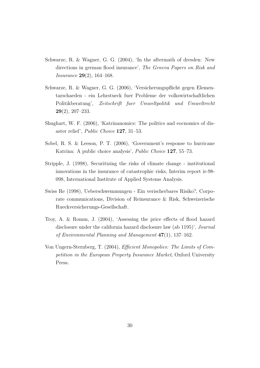- Schwarze, R. & Wagner, G. G. (2004), 'In the aftermath of dresden: New directions in german flood insurance', The Geneva Papers on Risk and Insurance 29(2), 164–168.
- Schwarze, R. & Wagner, G. G. (2006), 'Versicherungspflicht gegen Elementarschaeden - ein Lehrstueck fuer Probleme der volkswirtschaftlichen Politikberatung', Zeitschrift fuer Umweltpolitik und Umweltrecht 29(2), 207–233.
- Shughart, W. F. (2006), 'Katrinanomics: The politics and eocnomics of disaster relief', Public Choice 127, 31–53.
- Sobel, R. S. & Leeson, P. T. (2006), 'Government's response to hurricane Katrina: A public choice analysis', Public Choice 127, 55–73.
- Stripple, J. (1998), Securitizing the risks of climate change institutional innovations in the insurance of catastrophic risks, Interim report ir-98- 098, International Institute of Applied Systems Analysis.
- Swiss Re (1998), Ueberschwemmungen Ein verischerbares Risiko?, Corporate communications, Division of Reinsurance & Risk, Schweizerische Rueckversicherungs-Gesellschaft.
- Troy, A. & Romm, J. (2004), 'Assessing the price effects of flood hazard disclosure under the california hazard disclosure law (ab 1195)', Journal of Environmental Planning and Management  $47(1)$ , 137–162.
- Von Ungern-Sternberg, T. (2004), Efficient Monopolies: The Limits of Competition in the European Property Insurance Market, Oxford University Press.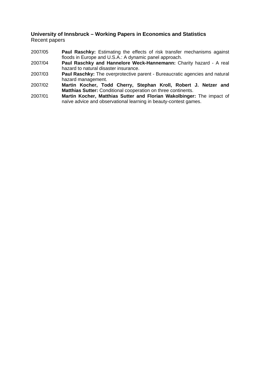#### **University of Innsbruck – Working Papers in Economics and Statistics**  Recent papers

- 2007/05 **Paul Raschky:** Estimating the effects of risk transfer mechanisms against floods in Europe and U.S.A.: A dynamic panel approach.
- 2007/04 **Paul Raschky and Hannelore Weck-Hannemann:** Charity hazard A real hazard to natural disaster insurance.
- 2007/03 **Paul Raschky:** The overprotective parent Bureaucratic agencies and natural hazard management.
- 2007/02 **Martin Kocher, Todd Cherry, Stephan Kroll, Robert J. Netzer and Matthias Sutter:** Conditional cooperation on three continents.
- 2007/01 **Martin Kocher, Matthias Sutter and Florian Wakolbinger:** The impact of naïve advice and observational learning in beauty-contest games.